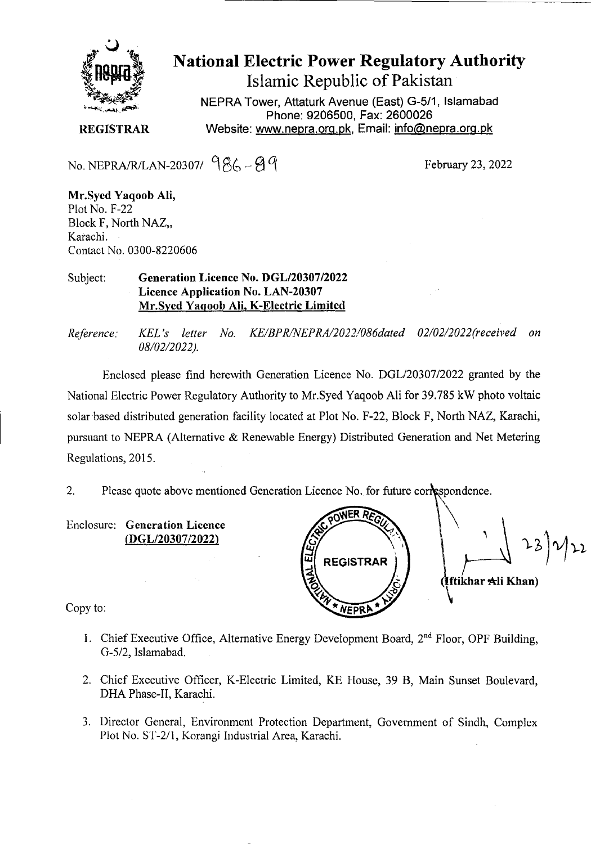

# National Electric Power Regulatory Authority Islamic Republic of Pakistan

**NEPRA Tower, Attaturk Avenue (East) G-511, Islamabad Phone: 9206500, Fax: 2600026 REGISTRAR** Website: www.nepra.org.pk, Email: info@nepra.org.pk

No. NEPRA/R/LAN-20307/  $986 - 99$ 

Mr.Syed Yaqoob Ali, Plot No. F-22 Block F, North NAZ,, Karachi. Contact No. 0300-8220606

#### Subject: **Generation Licence No. DGL/20307/2022**  Licence Application No. LAN-20307 Mr.Syed Yaqoob All, K-Electric Limited

*Reference. KEL 's letter No. KE/BPR/NEPRA/2022/086dated 02/02/2022('received on*  08/02/2022).

Enclosed please find herewith Generation Licence No. DGL/20307/2022 granted by the National Electric Power Regulatory Authority to Mr. Syed Yaqoob Ali for 39.785 kW photo voltaic solar based distributed generation facility located at Plot No. F-22, Block F, North NAZ, Karachi, pursuant to NEPRA (Alternative & Renewable Energy) Distributed Generation and Net Metering Regulations, 2015.

2. Please quote above mentioned Generation Licence No. for future correspondence.

Enclosure: Generation Licence (DGL/20307/2022)

NER RA 23)2/22 **REGISTRAR ftikhar** \*li **Khan)** 

Copy to:

- 1. Chief Executive Office, Alternative Energy Development Board,  $2<sup>nd</sup>$  Floor, OPF Building, G-5/2, Islamabad.
- 2. Chief Executive Officer, K-Electric Limited, KE House, 39 B, Main Sunset Boulevard, DHA Phase-IT, Karachi.
- 3. Director General, Environment Protection Department. Government of Sindh, Complex Plot No. *ST-211,* Korangi Industrial Area, Karachi.